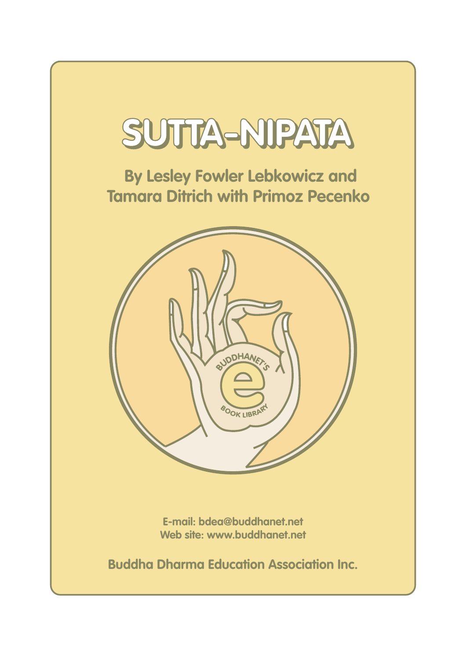

 **By Lesley Fowler Lebkowicz and Tamara Ditrich with Primoz Pecenko**



**E-mail: bdea@buddhanet.net Web site: www.buddhanet.net**

**Buddha Dharma Education Association Inc.**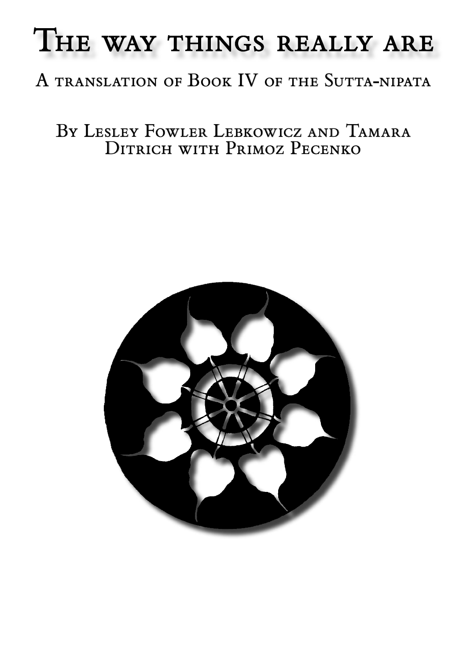# THE WAY THINGS REALLY ARE

# A translation of Book IV of the Sutta-nipata

By Lesley Fowler Lebkowicz and Tamara Ditrich with Primoz Pecenko

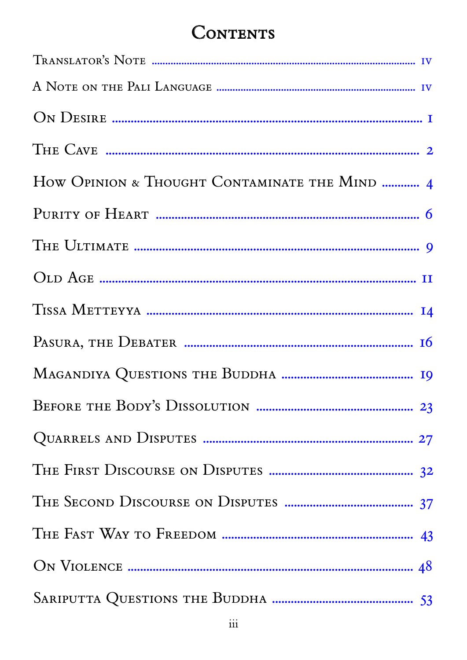## **CONTENTS**

| How OPINION & THOUGHT CONTAMINATE THE MIND  4 |
|-----------------------------------------------|
|                                               |
|                                               |
|                                               |
|                                               |
|                                               |
|                                               |
|                                               |
|                                               |
|                                               |
|                                               |
|                                               |
|                                               |
|                                               |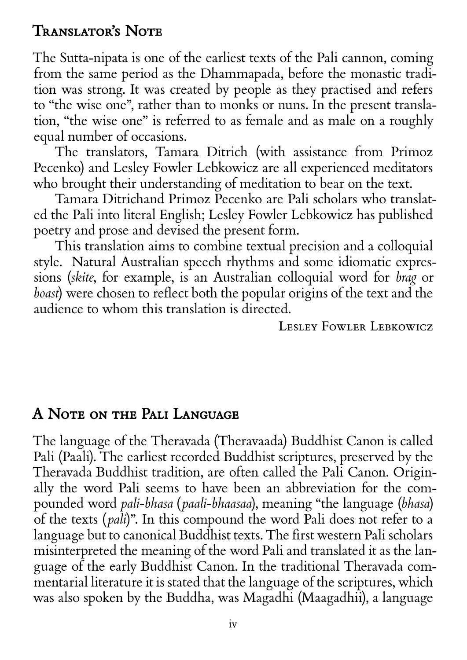## <span id="page-3-0"></span>Translator's Note

The Sutta-nipata is one of the earliest texts of the Pali cannon, coming from the same period as the Dhammapada, before the monastic tradition was strong. It was created by people as they practised and refers to "the wise one", rather than to monks or nuns. In the present translation, "the wise one" is referred to as female and as male on a roughly equal number of occasions.

The translators, Tamara Ditrich (with assistance from Primoz Pecenko) and Lesley Fowler Lebkowicz are all experienced meditators who brought their understanding of meditation to bear on the text.

Tamara Ditrichand Primoz Pecenko are Pali scholars who translated the Pali into literal English; Lesley Fowler Lebkowicz has published poetry and prose and devised the present form.

This translation aims to combine textual precision and a colloquial style. Natural Australian speech rhythms and some idiomatic expressions (*skite*, for example, is an Australian colloquial word for *brag* or *boast*) were chosen to reflect both the popular origins of the text and the audience to whom this translation is directed.

LESLEY FOWLER LEBKOWICZ

## A Note on the Pali Language

The language of the Theravada (Theravaada) Buddhist Canon is called Pali (Paali). The earliest recorded Buddhist scriptures, preserved by the Theravada Buddhist tradition, are often called the Pali Canon. Originally the word Pali seems to have been an abbreviation for the compounded word *pali-bhasa* (*paali-bhaasaa*), meaning "the language (*bhasa*) of the texts (*pali*)". In this compound the word Pali does not refer to a language but to canonical Buddhist texts. The first western Pali scholars misinterpreted the meaning of the word Pali and translated it as the language of the early Buddhist Canon. In the traditional Theravada commentarial literature it is stated that the language of the scriptures, which was also spoken by the Buddha, was Magadhi (Maagadhii), a language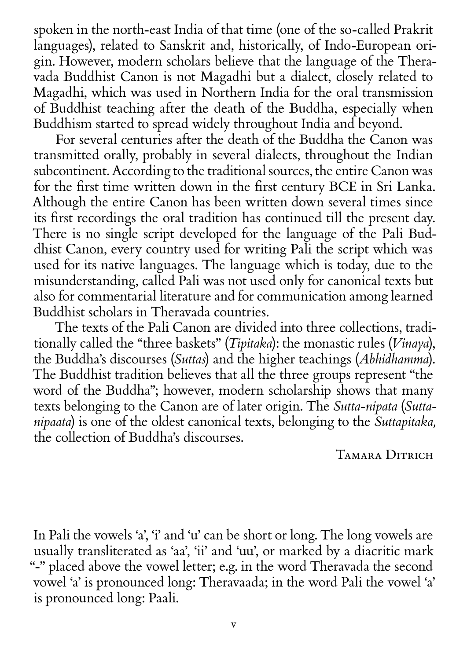spoken in the north-east India of that time (one of the so-called Prakrit languages), related to Sanskrit and, historically, of Indo-European origin. However, modern scholars believe that the language of the Theravada Buddhist Canon is not Magadhi but a dialect, closely related to Magadhi, which was used in Northern India for the oral transmission of Buddhist teaching after the death of the Buddha, especially when Buddhism started to spread widely throughout India and beyond.

For several centuries after the death of the Buddha the Canon was transmitted orally, probably in several dialects, throughout the Indian subcontinent. According to the traditional sources, the entire Canon was for the first time written down in the first century BCE in Sri Lanka. Although the entire Canon has been written down several times since its first recordings the oral tradition has continued till the present day. There is no single script developed for the language of the Pali Buddhist Canon, every country used for writing Pali the script which was used for its native languages. The language which is today, due to the misunderstanding, called Pali was not used only for canonical texts but also for commentarial literature and for communication among learned Buddhist scholars in Theravada countries.

The texts of the Pali Canon are divided into three collections, traditionally called the "three baskets" (*Tipitaka*): the monastic rules (*Vinaya*), the Buddha's discourses (*Suttas*) and the higher teachings (*Abhidhamma*). The Buddhist tradition believes that all the three groups represent "the word of the Buddha"; however, modern scholarship shows that many texts belonging to the Canon are of later origin. The *Sutta-nipata* (*Suttanipaata*) is one of the oldest canonical texts, belonging to the *Suttapitaka,* the collection of Buddha's discourses.

#### TAMARA DITRICH

In Pali the vowels 'a', 'i' and 'u' can be short or long. The long vowels are usually transliterated as 'aa', 'ii' and 'uu', or marked by a diacritic mark "-" placed above the vowel letter; e.g. in the word Theravada the second vowel 'a' is pronounced long: Theravaada; in the word Pali the vowel 'a' is pronounced long: Paali.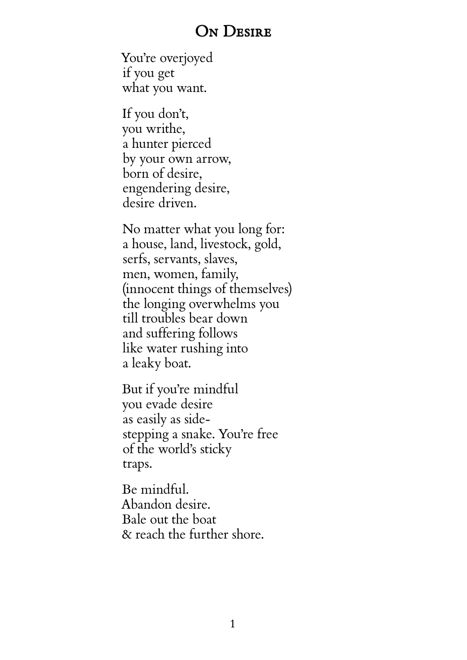#### ON DESIRE

<span id="page-5-0"></span>You're overjoyed if you get what you want.

If you don't, you writhe, a hunter pierced by your own arrow, born of desire, engendering desire, desire driven.

No matter what you long for: a house, land, livestock, gold, serfs, servants, slaves, men, women, family, (innocent things of themselves) the longing overwhelms you till troubles bear down and suffering follows like water rushing into a leaky boat.

But if you're mindful you evade desire as easily as sidestepping a snake. You're free of the world's sticky traps.

Be mindful. Abandon desire. Bale out the boat & reach the further shore.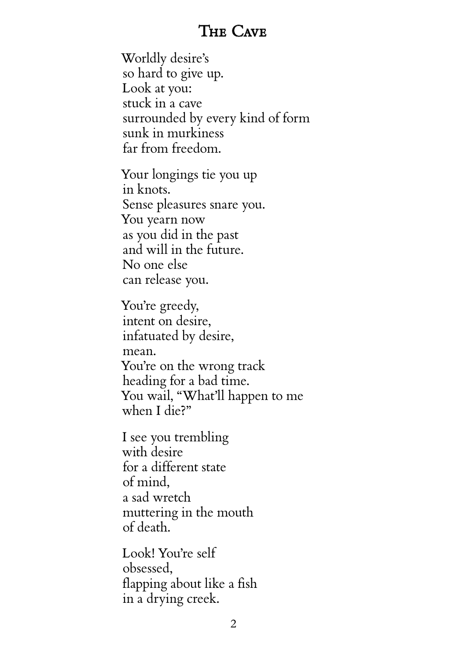## The Cave

<span id="page-6-0"></span>Worldly desire's so hard to give up. Look at you: stuck in a cave surrounded by every kind of form sunk in murkiness far from freedom.

Your longings tie you up in knots. Sense pleasures snare you. You yearn now as you did in the past and will in the future. No one else can release you.

You're greedy, intent on desire, infatuated by desire, mean. You're on the wrong track heading for a bad time. You wail, "What'll happen to me when I die?"

I see you trembling with desire for a different state of mind, a sad wretch muttering in the mouth of death.

Look! You're self obsessed, flapping about like a fish in a drying creek.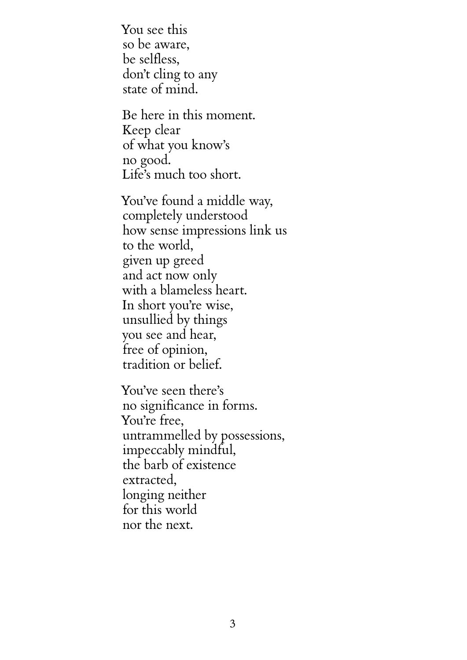You see this so be aware, be selfless, don't cling to any state of mind.

Be here in this moment. Keep clear of what you know's no good. Life's much too short.

You've found a middle way, completely understood how sense impressions link us to the world, given up greed and act now only with a blameless heart. In short you're wise, unsullied by things you see and hear, free of opinion, tradition or belief.

You've seen there's no significance in forms. You're free, untrammelled by possessions, impeccably mindful, the barb of existence extracted, longing neither for this world nor the next.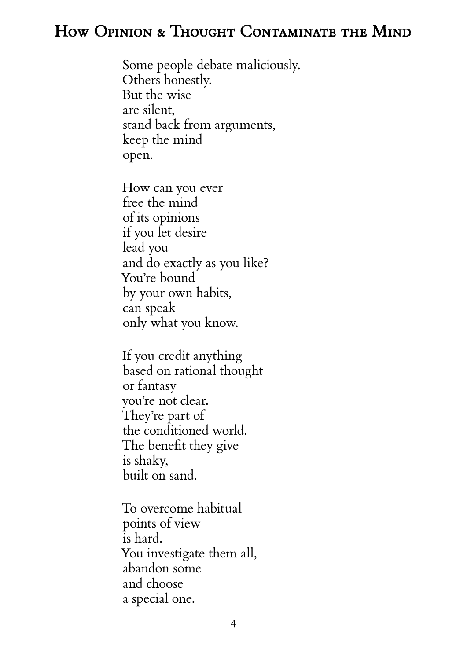## <span id="page-8-0"></span>How Opinion & Thought Contaminate the Mind

Some people debate maliciously. Others honestly. But the wise are silent, stand back from arguments, keep the mind open.

How can you ever free the mind of its opinions if you let desire lead you and do exactly as you like? You're bound by your own habits, can speak only what you know.

If you credit anything based on rational thought or fantasy you're not clear. They're part of the conditioned world. The benefit they give is shaky, built on sand.

To overcome habitual points of view is hard. You investigate them all, abandon some and choose a special one.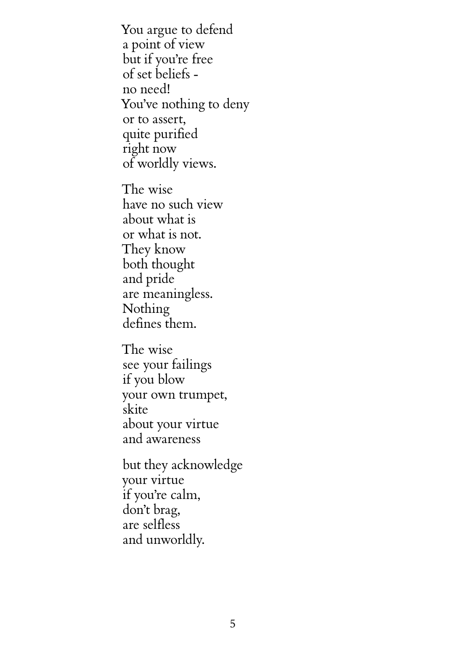You argue to defend a point of view but if you're free of set beliefs no need! You've nothing to deny or to assert, quite purified right now of worldly views.

The wise have no such view about what is or what is not. They know both thought and pride are meaningless. Nothing defines them.

The wise see your failings if you blow your own trumpet, skite about your virtue and awareness

but they acknowledge your virtue if you're calm, don't brag, are selfless and unworldly.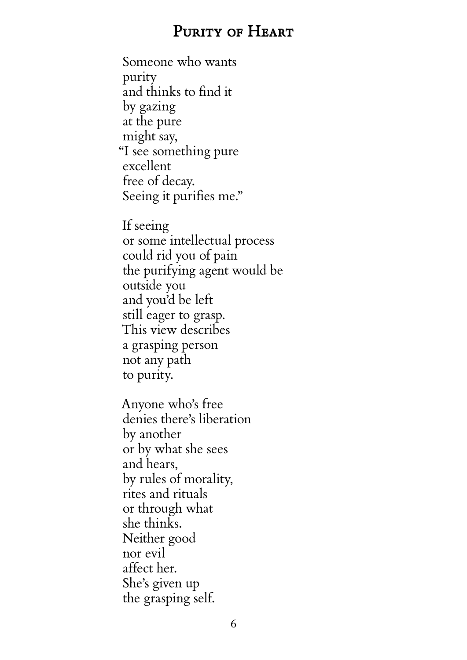### PURITY OF HEART

<span id="page-10-0"></span>Someone who wants purity and thinks to find it by gazing at the pure might say, "I see something pure excellent free of decay. Seeing it purifies me."

If seeing or some intellectual process could rid you of pain the purifying agent would be outside you and you'd be left still eager to grasp. This view describes a grasping person not any path to purity.

Anyone who's free denies there's liberation by another or by what she sees and hears, by rules of morality, rites and rituals or through what she thinks. Neither good nor evil affect her. She's given up the grasping self.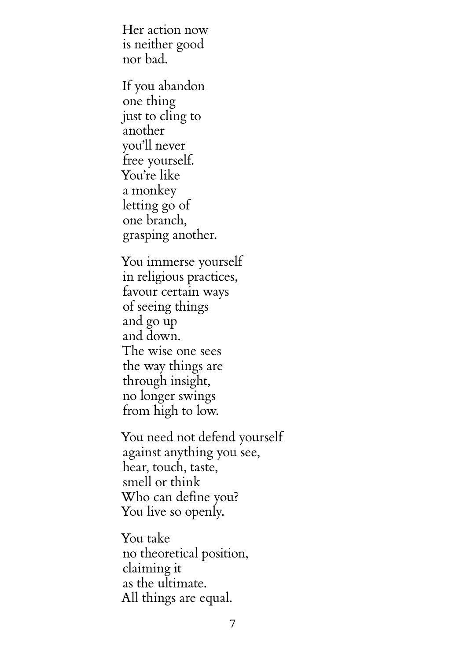Her action now is neither good nor bad.

If you abandon one thing just to cling to another you'll never free yourself. You're like a monkey letting go of one branch, grasping another.

You immerse yourself in religious practices, favour certain ways of seeing things and go up and down. The wise one sees the way things are through insight, no longer swings from high to low.

You need not defend yourself against anything you see, hear, touch, taste, smell or think Who can define you? You live so openly.

You take no theoretical position, claiming it as the ultimate. All things are equal.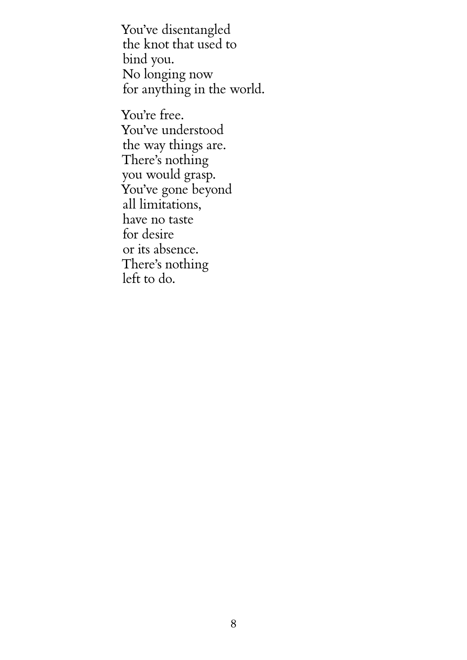You've disentangled the knot that used to bind you. No longing now for anything in the world.

You're free. You've understood the way things are. There's nothing you would grasp. You've gone beyond all limitations, have no taste for desire or its absence. There's nothing left to do.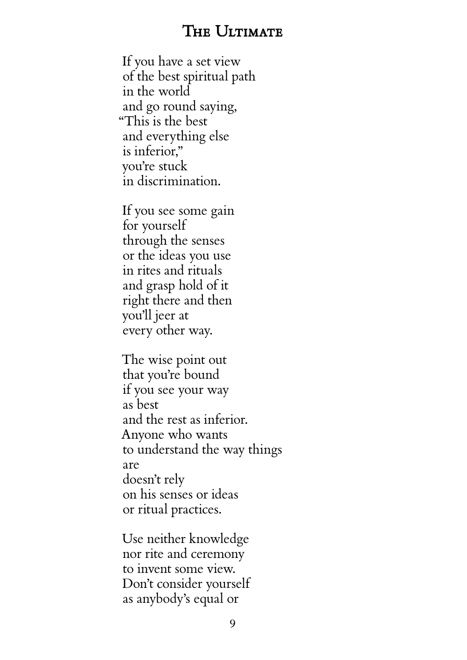## THE ULTIMATE

<span id="page-13-0"></span>If you have a set view of the best spiritual path in the world and go round saying, "This is the best and everything else is inferior," you're stuck in discrimination.

If you see some gain for yourself through the senses or the ideas you use in rites and rituals and grasp hold of it right there and then you'll jeer at every other way.

The wise point out that you're bound if you see your way as best and the rest as inferior. Anyone who wants to understand the way things are doesn't rely on his senses or ideas or ritual practices.

Use neither knowledge nor rite and ceremony to invent some view. Don't consider yourself as anybody's equal or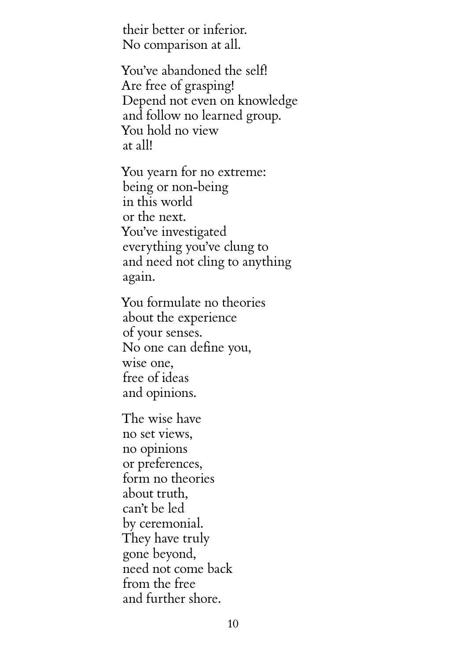their better or inferior. No comparison at all.

You've abandoned the self! Are free of grasping! Depend not even on knowledge and follow no learned group. You hold no view at all!

You yearn for no extreme: being or non-being in this world or the next. You've investigated everything you've clung to and need not cling to anything again.

You formulate no theories about the experience of your senses. No one can define you, wise one, free of ideas and opinions.

The wise have no set views, no opinions or preferences, form no theories about truth, can't be led by ceremonial. They have truly gone beyond, need not come back from the free and further shore.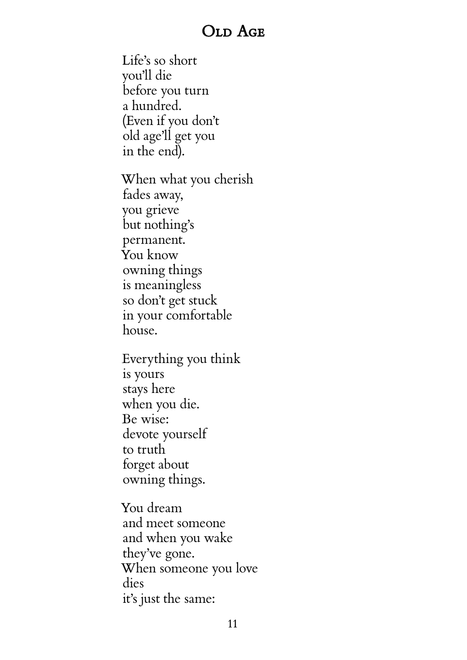## OLD AGE

<span id="page-15-0"></span>Life's so short you'll die before you turn a hundred. (Even if you don't old age'll get you in the end).

When what you cherish fades away, you grieve but nothing's permanent. You know owning things is meaningless so don't get stuck in your comfortable house.

Everything you think is yours stays here when you die. Be wise: devote yourself to truth forget about owning things.

You dream and meet someone and when you wake they've gone. When someone you love dies it's just the same: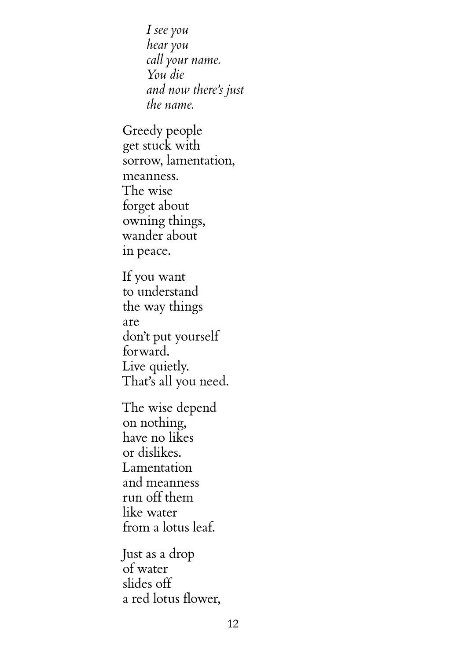*I see you hear you call your name. You die and now there's just the name.*

Greedy people get stuck with sorrow, lamentation, meanness. The wise forget about owning things, wander about in peace.

If you want to understand the way things are don't put yourself forward. Live quietly. That's all you need.

The wise depend on nothing, have no likes or dislikes. Lamentation and meanness run off them like water from a lotus leaf.

Just as a drop of water slides off a red lotus flower,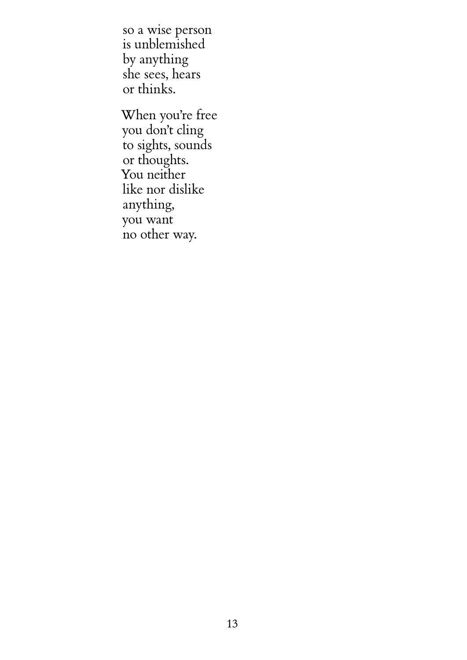so a wise person is unblemished by anything she sees, hears or thinks.

When you're free you don't cling to sights, sounds or thoughts. You neither like nor dislike anything, you want no other way.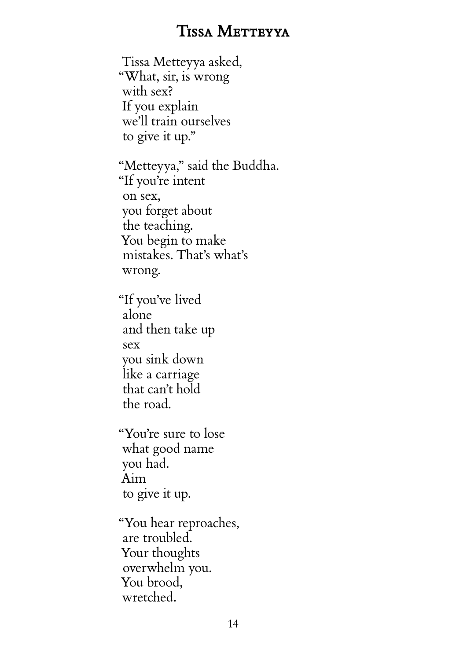## TISSA METTEYYA

<span id="page-18-0"></span>Tissa Metteyya asked, "What, sir, is wrong with sex? If you explain we'll train ourselves to give it up." "Metteyya," said the Buddha. "If you're intent on sex, you forget about the teaching. You begin to make mistakes. That's what's wrong. "If you've lived alone and then take up sex you sink down like a carriage that can't hold the road. "You're sure to lose what good name you had. Aim to give it up. "You hear reproaches, are troubled. Your thoughts overwhelm you.

You brood, wretched.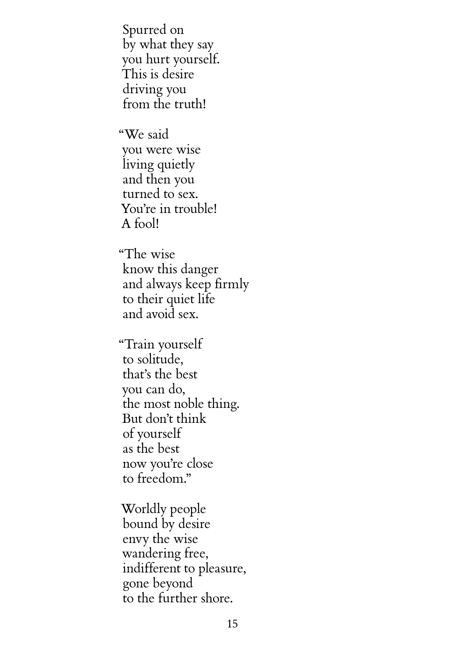Spurred on by what they say you hurt yourself. This is desire driving you from the truth!

"We said you were wise living quietly and then you turned to sex. You're in trouble! A fool!

"The wise know this danger and always keep firmly to their quiet life and avoid sex.

"Train yourself to solitude, that's the best you can do, the most noble thing. But don't think of yourself as the best now you're close to freedom."

Worldly people bound by desire envy the wise wandering free, indifferent to pleasure, gone beyond to the further shore.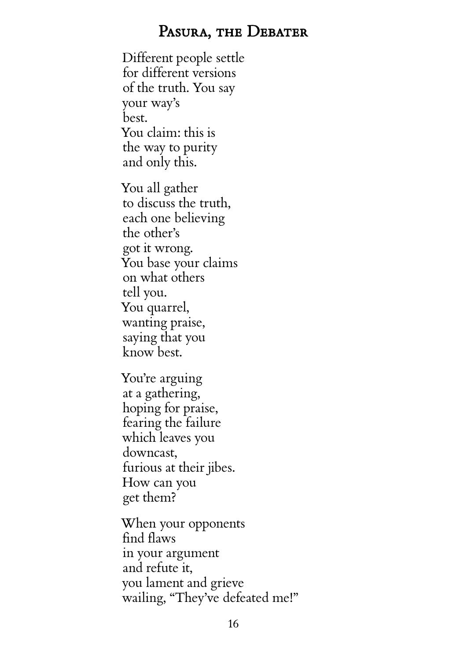#### PASURA, THE DEBATER

<span id="page-20-0"></span>Different people settle for different versions of the truth. You say your way's best. You claim: this is the way to purity and only this.

You all gather to discuss the truth, each one believing the other's got it wrong. You base your claims on what others tell you. You quarrel, wanting praise, saying that you know best.

You're arguing at a gathering, hoping for praise, fearing the failure which leaves you downcast, furious at their jibes. How can you get them?

When your opponents find flaws in your argument and refute it, you lament and grieve wailing, "They've defeated me!"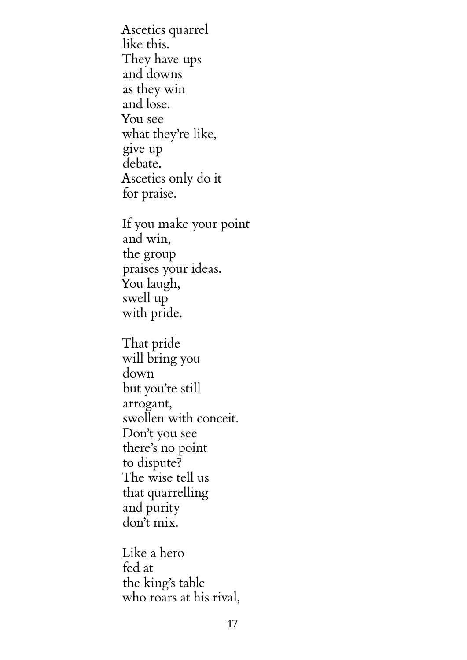Ascetics quarrel like this. They have ups and downs as they win and lose. You see what they're like, give up debate. Ascetics only do it for praise. If you make your point and win, the group praises your ideas. You laugh, swell up with pride. That pride will bring you down but you're still arrogant, swollen with conceit. Don't you see there's no point to dispute? The wise tell us that quarrelling and purity don't mix.

Like a hero fed at the king's table who roars at his rival,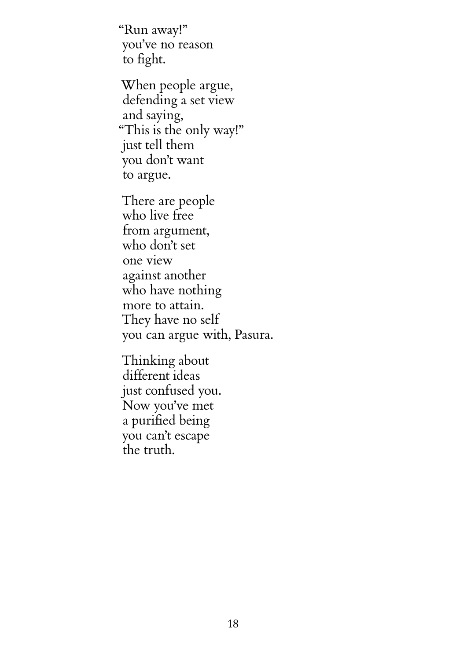"Run away!" you've no reason to fight.

When people argue, defending a set view and saying, "This is the only way!" just tell them you don't want to argue.

There are people who live free from argument, who don't set one view against another who have nothing more to attain. They have no self you can argue with, Pasura.

Thinking about different ideas just confused you. Now you've met a purified being you can't escape the truth.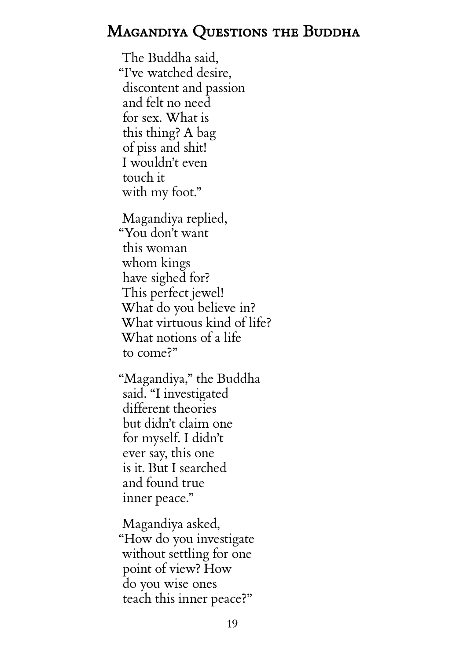## <span id="page-23-0"></span>MAGANDIYA QUESTIONS THE BUDDHA

The Buddha said, "I've watched desire, discontent and passion and felt no need for sex. What is this thing? A bag of piss and shit! I wouldn't even touch it with my foot."

Magandiya replied, "You don't want this woman whom kings have sighed for? This perfect jewel! What do you believe in? What virtuous kind of life? What notions of a life to come?"

"Magandiya," the Buddha said. "I investigated different theories but didn't claim one for myself. I didn't ever say, this one is it. But I searched and found true inner peace."

Magandiya asked, "How do you investigate without settling for one point of view? How do you wise ones teach this inner peace?"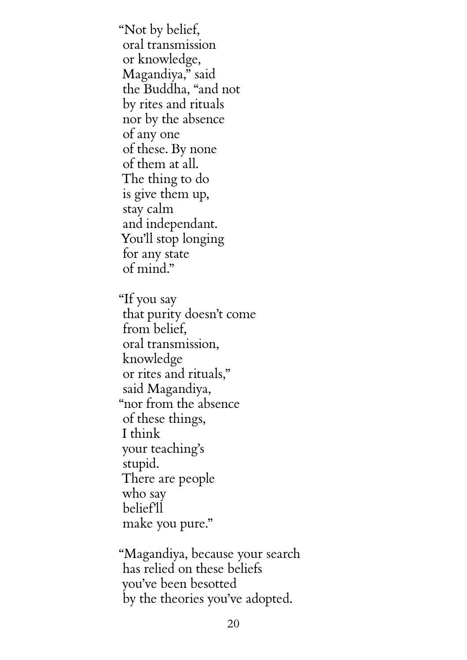"Not by belief, oral transmission or knowledge, Magandiya," said the Buddha, "and not by rites and rituals nor by the absence of any one of these. By none of them at all. The thing to do is give them up, stay calm and independant. You'll stop longing for any state of mind."

"If you say that purity doesn't come from belief, oral transmission, knowledge or rites and rituals," said Magandiya, "nor from the absence of these things, I think your teaching's stupid. There are people who say belief'll make you pure."

"Magandiya, because your search has relied on these beliefs you've been besotted by the theories you've adopted.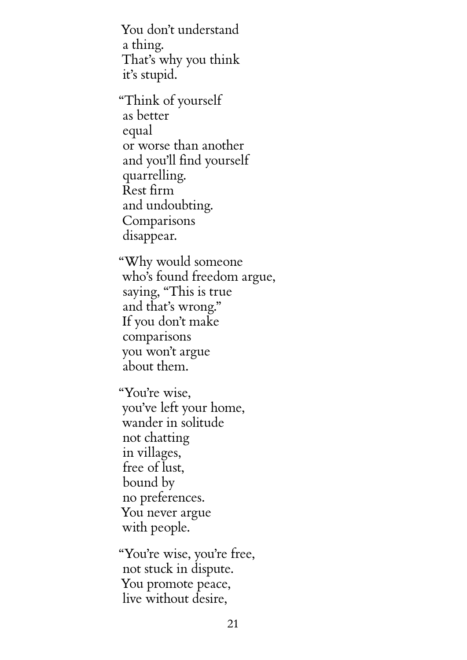You don't understand a thing. That's why you think it's stupid.

"Think of yourself as better equal or worse than another and you'll find yourself quarrelling. Rest firm and undoubting. Comparisons disappear.

"Why would someone who's found freedom argue, saying, "This is true and that's wrong." If you don't make comparisons you won't argue about them.

"You're wise, you've left your home, wander in solitude not chatting in villages, free of lust, bound by no preferences. You never argue with people.

"You're wise, you're free, not stuck in dispute. You promote peace, live without desire,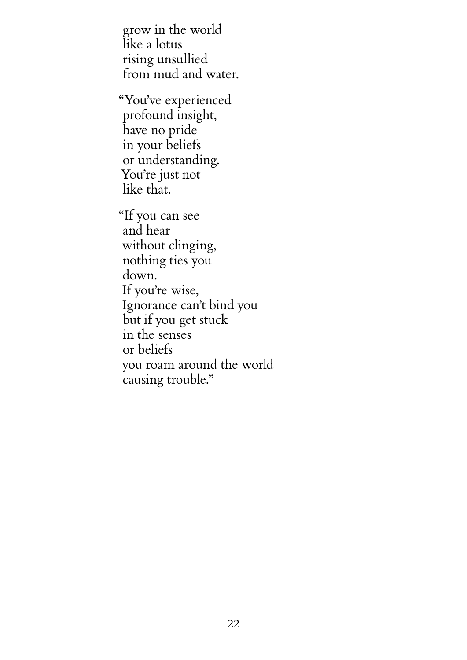grow in the world like a lotus rising unsullied from mud and water.

"You've experienced profound insight, have no pride in your beliefs or understanding. You're just not like that.

"If you can see and hear without clinging, nothing ties you down. If you're wise, Ignorance can't bind you but if you get stuck in the senses or beliefs you roam around the world causing trouble."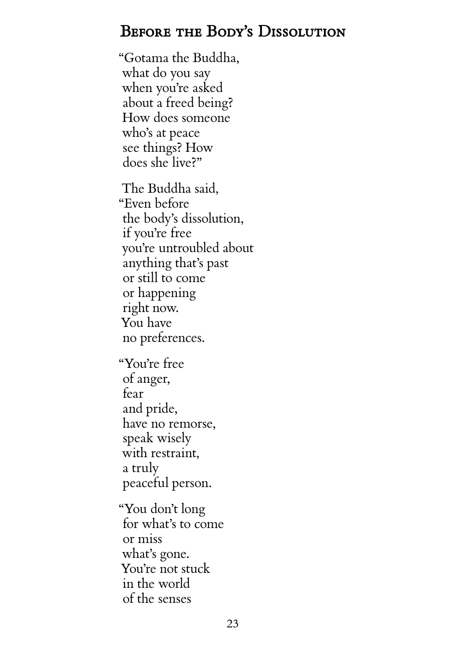## <span id="page-27-0"></span>BEFORE THE BODY'S DISSOLUTION

"Gotama the Buddha, what do you say when you're asked about a freed being? How does someone who's at peace see things? How does she live?"

The Buddha said, "Even before the body's dissolution, if you're free you're untroubled about anything that's past or still to come or happening right now. You have no preferences.

"You're free of anger, fear and pride, have no remorse, speak wisely with restraint, a truly peaceful person.

"You don't long for what's to come or miss what's gone. You're not stuck in the world of the senses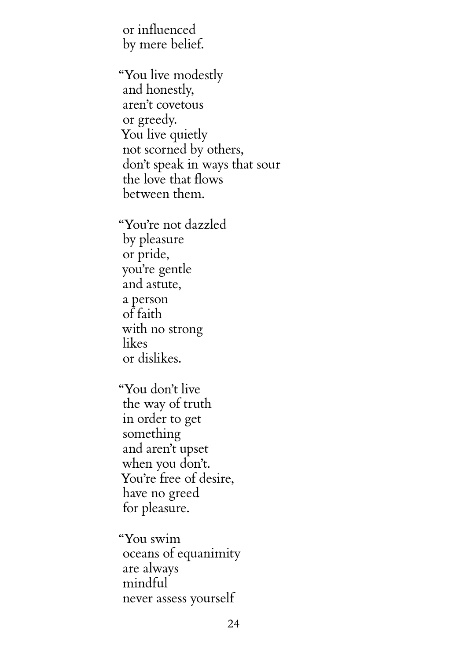or influenced by mere belief.

"You live modestly and honestly, aren't covetous or greedy. You live quietly not scorned by others, don't speak in ways that sour the love that flows between them.

"You're not dazzled by pleasure or pride, you're gentle and astute, a person of faith with no strong likes or dislikes.

"You don't live the way of truth in order to get something and aren't upset when you don't. You're free of desire, have no greed for pleasure.

"You swim oceans of equanimity are always mindful never assess yourself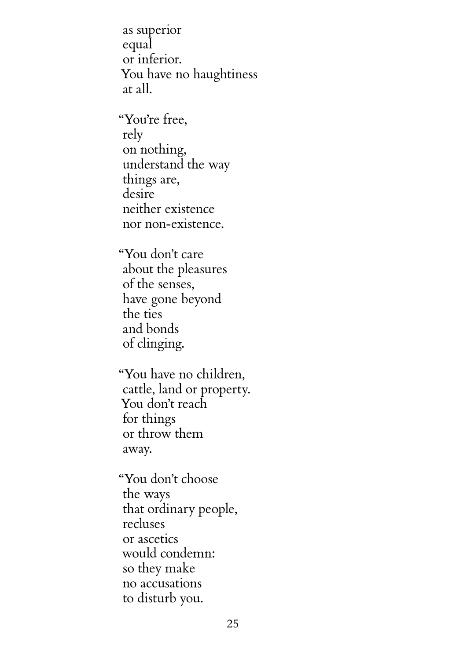as superior equal or inferior. You have no haughtiness at all.

"You're free, rely on nothing, understand the way things are, desire neither existence nor non-existence.

"You don't care about the pleasures of the senses, have gone beyond the ties and bonds of clinging.

"You have no children, cattle, land or property. You don't reach for things or throw them away.

"You don't choose the ways that ordinary people, recluses or ascetics would condemn: so they make no accusations to disturb you.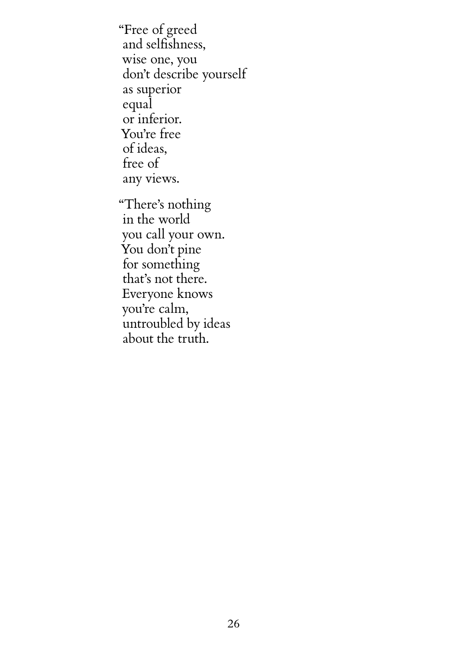"Free of greed and selfishness, wise one, you don't describe yourself as superior equal or inferior. You're free of ideas, free of any views. "There's nothing in the world you call your own. You don't pine for something that's not there. Everyone knows you're calm,

untroubled by ideas about the truth.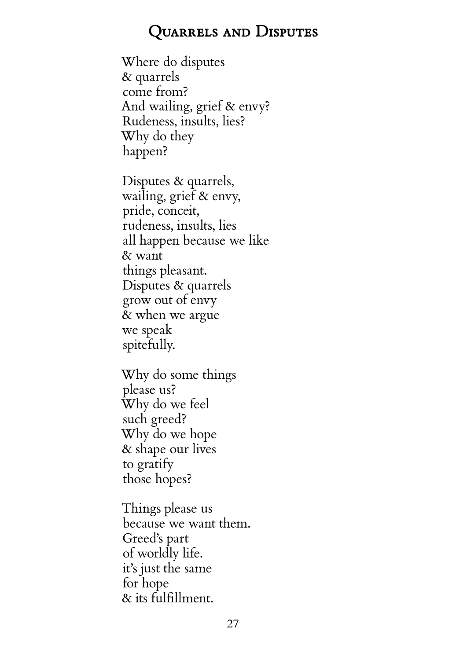## Quarrels and Disputes

<span id="page-31-0"></span>Where do disputes & quarrels come from? And wailing, grief & envy? Rudeness, insults, lies? Why do they happen?

Disputes & quarrels, wailing, grief & envy, pride, conceit, rudeness, insults, lies all happen because we like & want things pleasant. Disputes & quarrels grow out of envy & when we argue we speak spitefully.

Why do some things please us? Why do we feel such greed? Why do we hope & shape our lives to gratify those hopes?

Things please us because we want them. Greed's part of worldly life. it's just the same for hope & its fulfillment.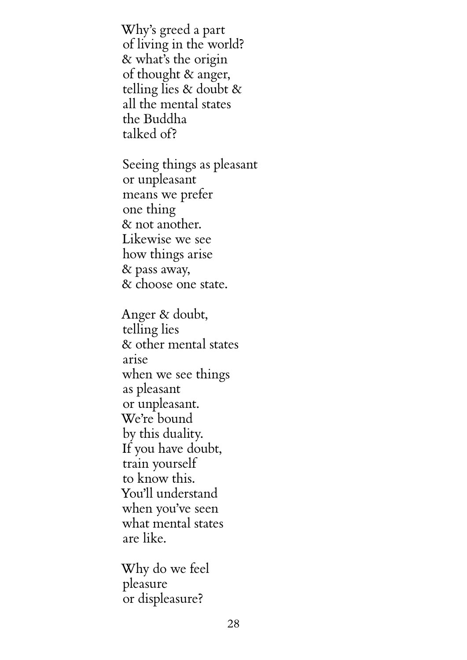Why's greed a part of living in the world? & what's the origin of thought & anger, telling lies & doubt & all the mental states the Buddha talked of?

Seeing things as pleasant or unpleasant means we prefer one thing & not another. Likewise we see how things arise & pass away, & choose one state.

Anger & doubt, telling lies & other mental states arise when we see things as pleasant or unpleasant. We're bound by this duality. If you have doubt, train yourself to know this. You'll understand when you've seen what mental states are like.

Why do we feel pleasure or displeasure?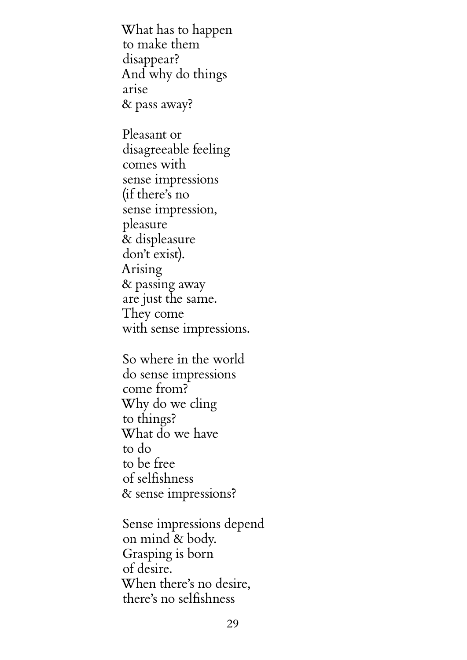What has to happen to make them disappear? And why do things arise & pass away?

Pleasant or disagreeable feeling comes with sense impressions (if there's no sense impression, pleasure & displeasure don't exist). Arising & passing away are just the same. They come with sense impressions.

So where in the world do sense impressions come from? Why do we cling to things? What do we have to do to be free of selfishness & sense impressions?

Sense impressions depend on mind & body. Grasping is born of desire. When there's no desire, there's no selfishness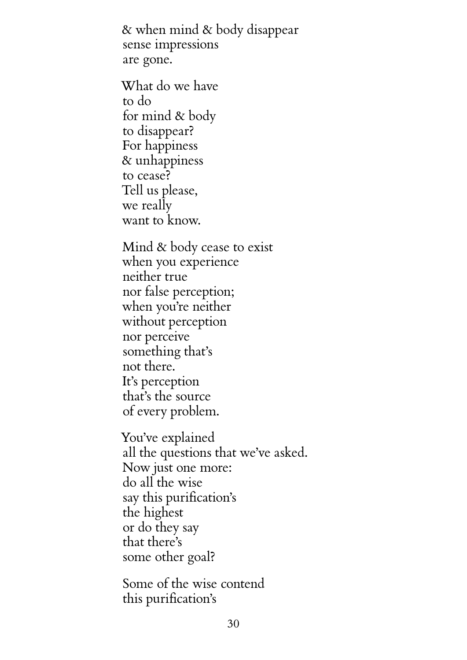& when mind & body disappear sense impressions are gone.

What do we have to do for mind & body to disappear? For happiness & unhappiness to cease? Tell us please, we really want to know.

Mind & body cease to exist when you experience neither true nor false perception; when you're neither without perception nor perceive something that's not there. It's perception that's the source of every problem.

You've explained all the questions that we've asked. Now just one more: do all the wise say this purification's the highest or do they say that there's some other goal?

Some of the wise contend this purification's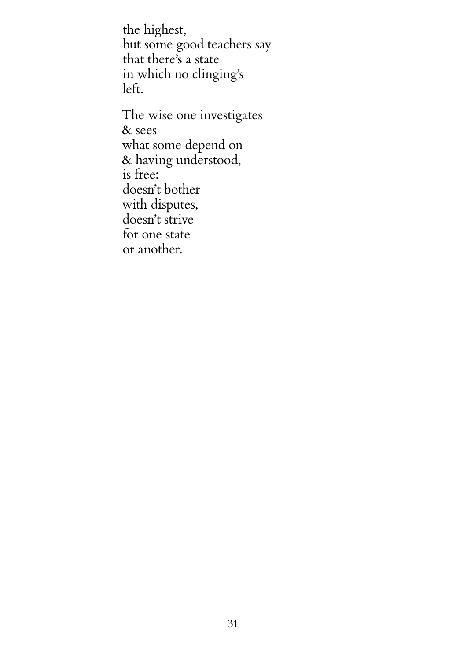the highest, but some good teachers say that there's a state in which no clinging's left.

The wise one investigates & sees what some depend on & having understood, is free: doesn't bother with disputes, doesn't strive for one state or another.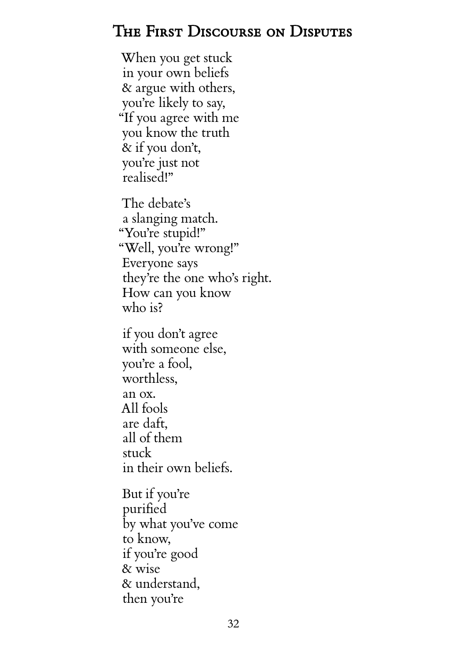## <span id="page-36-0"></span>The First Discourse on Disputes

When you get stuck in your own beliefs & argue with others, you're likely to say, "If you agree with me you know the truth & if you don't, you're just not realised!"

The debate's a slanging match. "You're stupid!" "Well, you're wrong!" Everyone says they're the one who's right. How can you know who is?

if you don't agree with someone else, you're a fool, worthless, an ox. All fools are daft, all of them stuck in their own beliefs.

But if you're purified by what you've come to know, if you're good & wise & understand, then you're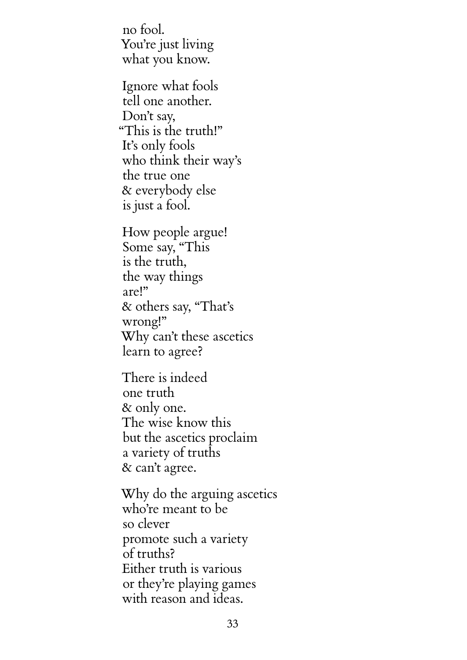no fool. You're just living what you know.

Ignore what fools tell one another. Don't say, "This is the truth!" It's only fools who think their way's the true one & everybody else is just a fool.

How people argue! Some say, "This is the truth, the way things are!" & others say, "That's wrong!" Why can't these ascetics learn to agree?

There is indeed one truth & only one. The wise know this but the ascetics proclaim a variety of truths & can't agree.

Why do the arguing ascetics who're meant to be so clever promote such a variety of truths? Either truth is various or they're playing games with reason and ideas.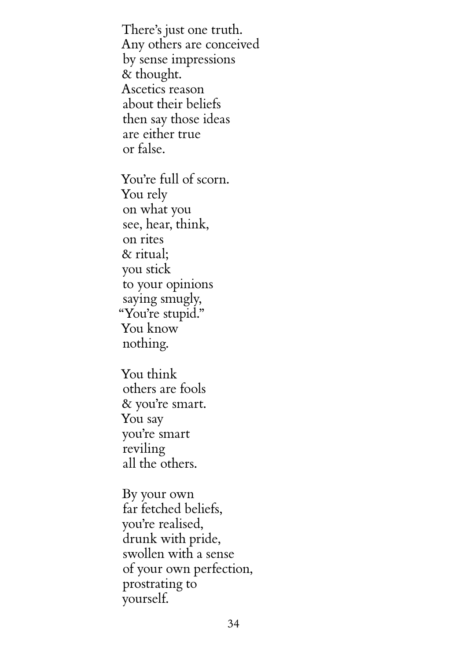There's just one truth. Any others are conceived by sense impressions & thought. Ascetics reason about their beliefs then say those ideas are either true or false.

You're full of scorn. You rely on what you see, hear, think, on rites & ritual; you stick to your opinions saying smugly, "You're stupid." You know nothing.

You think others are fools & you're smart. You say you're smart reviling all the others.

By your own far fetched beliefs, you're realised, drunk with pride, swollen with a sense of your own perfection, prostrating to yourself.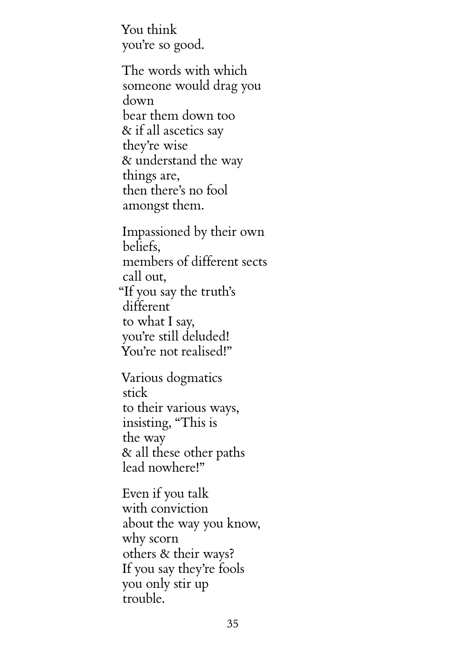You think you're so good.

The words with which someone would drag you down bear them down too & if all ascetics say they're wise & understand the way things are, then there's no fool amongst them.

Impassioned by their own beliefs, members of different sects call out, "If you say the truth's different to what I say, you're still deluded! You're not realised!"

Various dogmatics stick to their various ways, insisting, "This is the way & all these other paths lead nowhere!"

Even if you talk with conviction about the way you know, why scorn others & their ways? If you say they're fools you only stir up trouble.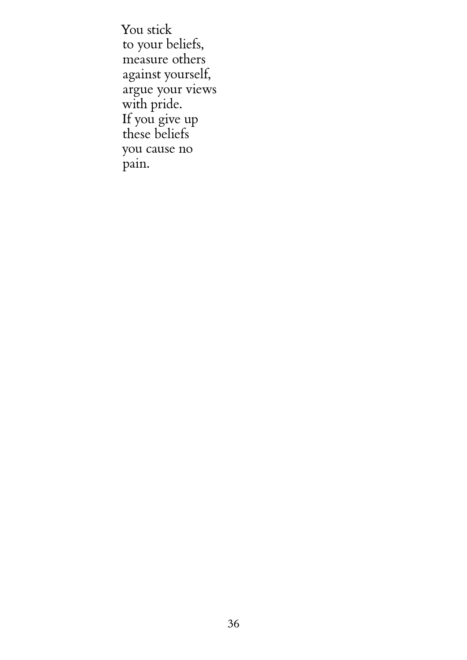You stick to your beliefs, measure others against yourself, argue your views with pride. If you give up these beliefs you cause no pain.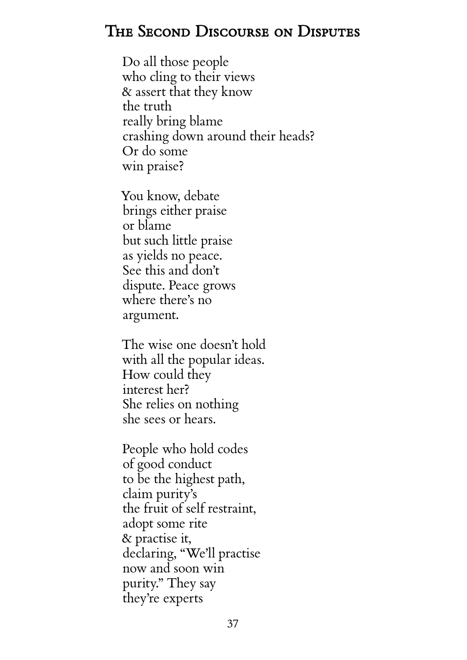## <span id="page-41-0"></span>The Second Discourse on Disputes

Do all those people who cling to their views & assert that they know the truth really bring blame crashing down around their heads? Or do some win praise?

You know, debate brings either praise or blame but such little praise as yields no peace. See this and don't dispute. Peace grows where there's no argument.

The wise one doesn't hold with all the popular ideas. How could they interest her? She relies on nothing she sees or hears.

People who hold codes of good conduct to be the highest path, claim purity's the fruit of self restraint, adopt some rite & practise it, declaring, "We'll practise now and soon win purity." They say they're experts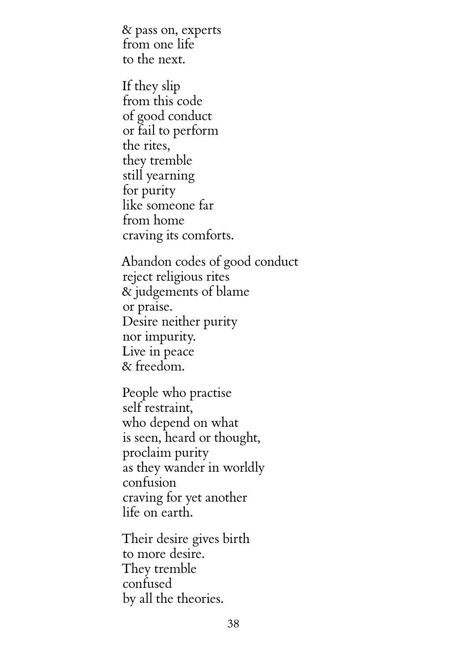& pass on, experts from one life to the next.

If they slip from this code of good conduct or fail to perform the rites, they tremble still yearning for purity like someone far from home craving its comforts.

Abandon codes of good conduct reject religious rites & judgements of blame or praise. Desire neither purity nor impurity. Live in peace & freedom.

People who practise self restraint, who depend on what is seen, heard or thought, proclaim purity as they wander in worldly confusion craving for yet another life on earth.

Their desire gives birth to more desire. They tremble confused by all the theories.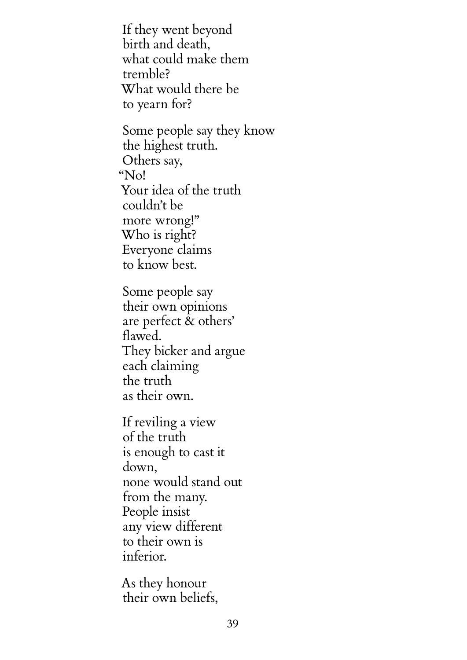If they went beyond birth and death, what could make them tremble? What would there be to yearn for?

Some people say they know the highest truth. Others say, "No! Your idea of the truth couldn't be more wrong!" Who is right? Everyone claims to know best.

Some people say their own opinions are perfect & others' flawed. They bicker and argue each claiming the truth as their own.

If reviling a view of the truth is enough to cast it down, none would stand out from the many. People insist any view different to their own is inferior.

As they honour their own beliefs,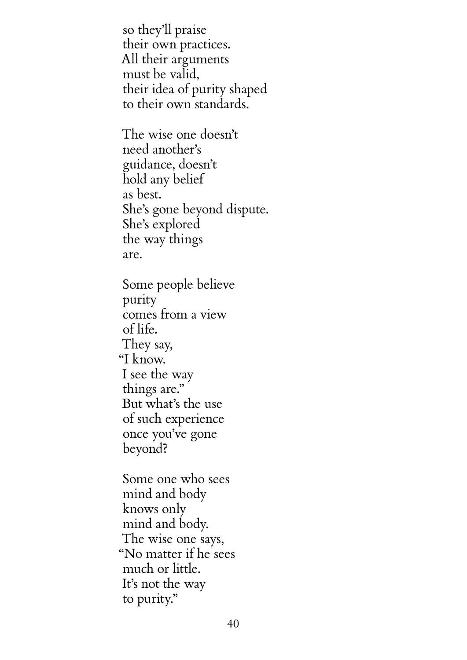so they'll praise their own practices. All their arguments must be valid, their idea of purity shaped to their own standards.

The wise one doesn't need another's guidance, doesn't hold any belief as best. She's gone beyond dispute. She's explored the way things are.

Some people believe purity comes from a view of life. They say, "I know. I see the way things are." But what's the use of such experience once you've gone beyond?

Some one who sees mind and body knows only mind and body. The wise one says, "No matter if he sees much or little. It's not the way to purity."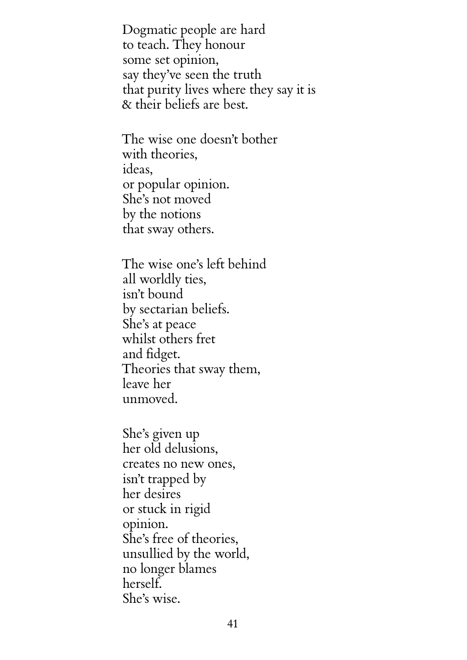Dogmatic people are hard to teach. They honour some set opinion, say they've seen the truth that purity lives where they say it is & their beliefs are best.

The wise one doesn't bother with theories, ideas, or popular opinion. She's not moved by the notions that sway others.

The wise one's left behind all worldly ties, isn't bound by sectarian beliefs. She's at peace whilst others fret and fidget. Theories that sway them, leave her unmoved.

She's given up her old delusions, creates no new ones, isn't trapped by her desires or stuck in rigid opinion. She's free of theories, unsullied by the world, no longer blames herself. She's wise.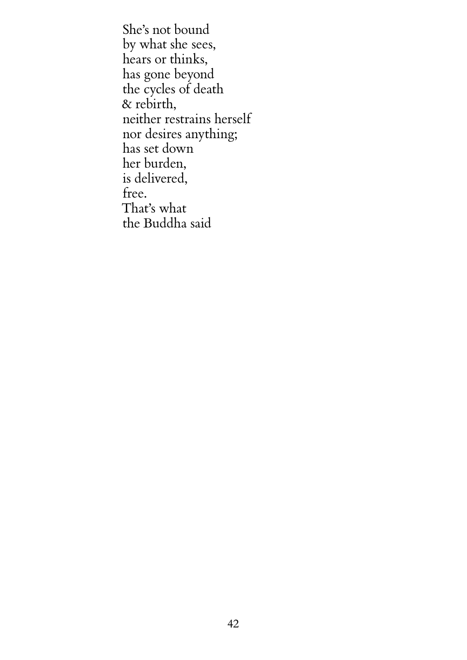She's not bound by what she sees, hears or thinks, has gone beyond the cycles of death & rebirth, neither restrains herself nor desires anything; has set down her burden, is delivered, free. That's what the Buddha said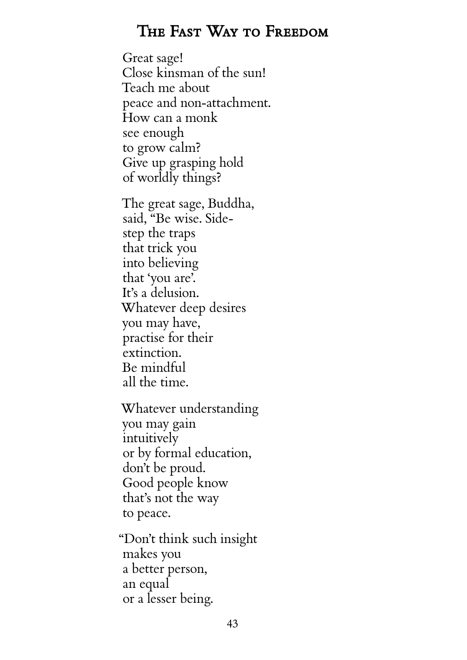#### The Fast Way to Freedom

<span id="page-47-0"></span>Great sage! Close kinsman of the sun! Teach me about peace and non-attachment. How can a monk see enough to grow calm? Give up grasping hold of worldly things?

The great sage, Buddha, said, "Be wise. Sidestep the traps that trick you into believing that 'you are'. It's a delusion. Whatever deep desires you may have, practise for their extinction. Be mindful all the time.

Whatever understanding you may gain intuitively or by formal education, don't be proud. Good people know that's not the way to peace.

"Don't think such insight makes you a better person, an equal or a lesser being.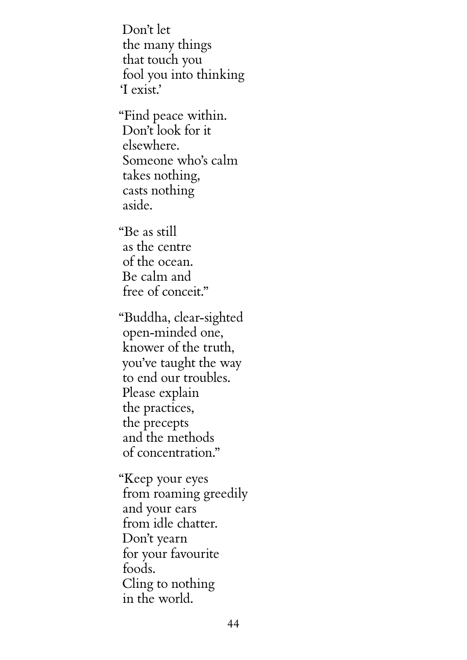Don't let the many things that touch you fool you into thinking 'I exist.'

"Find peace within. Don't look for it elsewhere. Someone who's calm takes nothing, casts nothing aside.

"Be as still as the centre of the ocean. Be calm and free of conceit."

"Buddha, clear-sighted open-minded one, knower of the truth, you've taught the way to end our troubles. Please explain the practices, the precepts and the methods of concentration."

"Keep your eyes from roaming greedily and your ears from idle chatter. Don't yearn for your favourite foods. Cling to nothing in the world.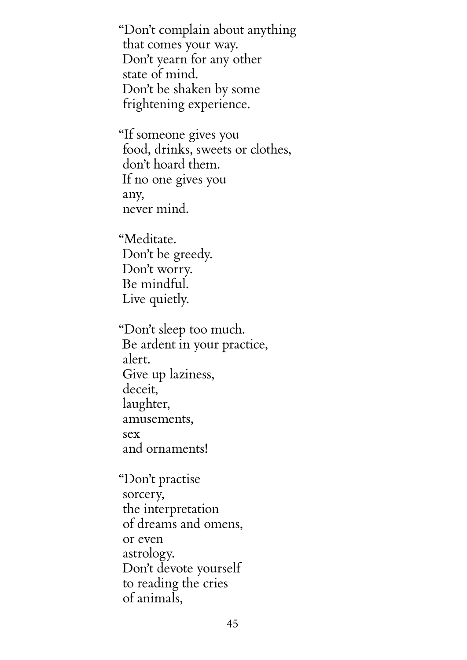"Don't complain about anything that comes your way. Don't yearn for any other state of mind. Don't be shaken by some frightening experience.

"If someone gives you food, drinks, sweets or clothes, don't hoard them. If no one gives you any, never mind.

"Meditate. Don't be greedy. Don't worry. Be mindful. Live quietly.

"Don't sleep too much. Be ardent in your practice, alert. Give up laziness, deceit, laughter, amusements, sex and ornaments!

"Don't practise sorcery, the interpretation of dreams and omens, or even astrology. Don't devote yourself to reading the cries of animals,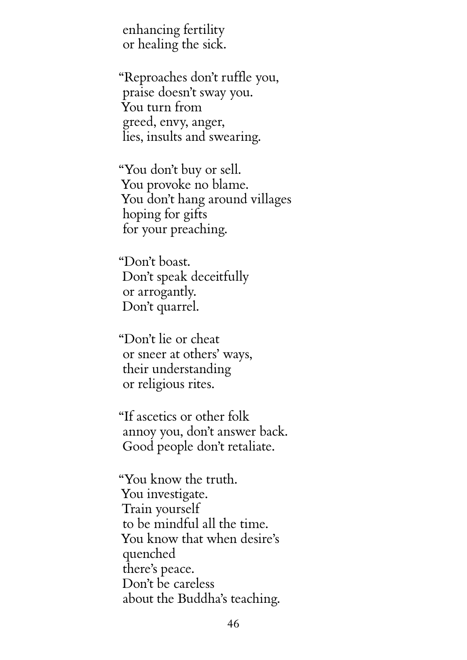enhancing fertility or healing the sick.

"Reproaches don't ruffle you, praise doesn't sway you. You turn from greed, envy, anger, lies, insults and swearing.

"You don't buy or sell. You provoke no blame. You don't hang around villages hoping for gifts for your preaching.

"Don't boast. Don't speak deceitfully or arrogantly. Don't quarrel.

"Don't lie or cheat or sneer at others' ways, their understanding or religious rites.

"If ascetics or other folk annoy you, don't answer back. Good people don't retaliate.

"You know the truth. You investigate. Train yourself to be mindful all the time. You know that when desire's quenched there's peace. Don't be careless about the Buddha's teaching.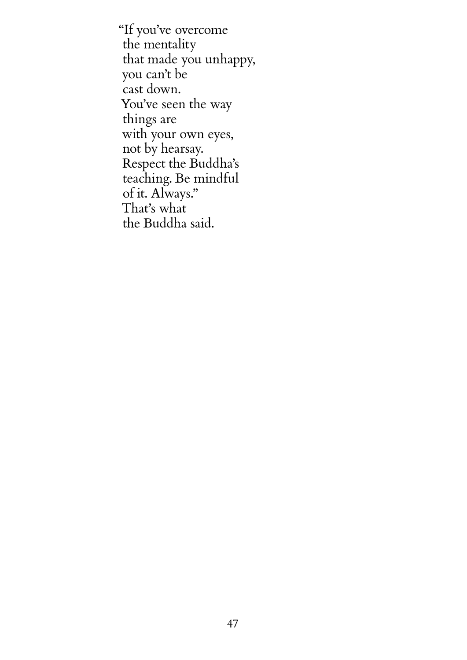"If you've overcome the mentality that made you unhappy, you can't be cast down. You've seen the way things are with your own eyes, not by hearsay. Respect the Buddha's teaching. Be mindful of it. Always." That's what the Buddha said.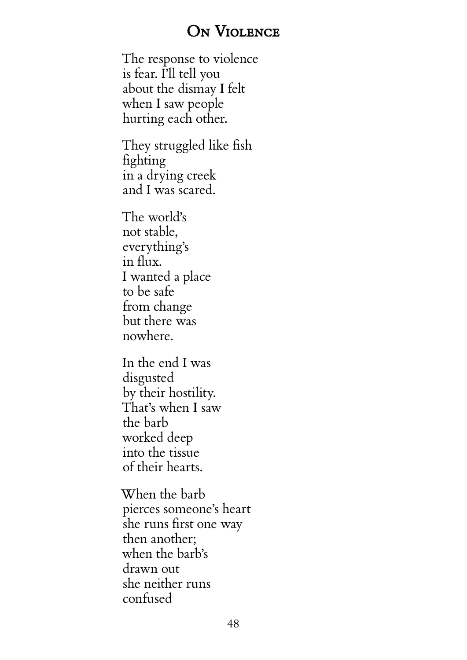#### ON VIOLENCE

<span id="page-52-0"></span>The response to violence is fear. I'll tell you about the dismay I felt when I saw people hurting each other.

They struggled like fish fighting in a drying creek and I was scared.

The world's not stable, everything's in flux. I wanted a place to be safe from change but there was nowhere.

In the end I was disgusted by their hostility. That's when I saw the barb worked deep into the tissue of their hearts.

When the barb pierces someone's heart she runs first one way then another; when the barb's drawn out she neither runs confused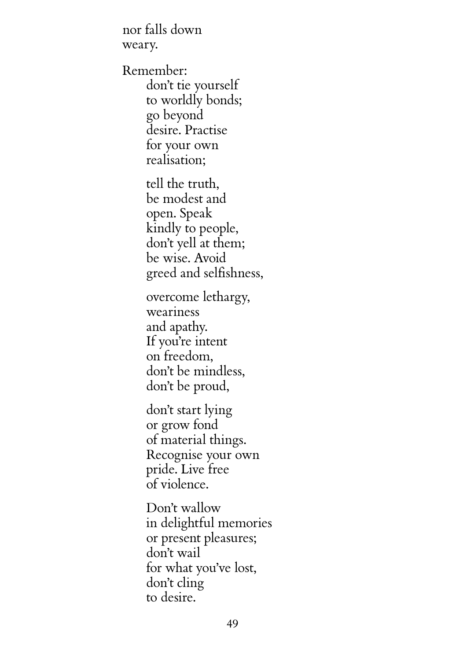nor falls down weary.

Remember: don't tie yourself to worldly bonds; go beyond desire. Practise for your own realisation;

> tell the truth, be modest and open. Speak kindly to people, don't yell at them; be wise. Avoid greed and selfishness,

overcome lethargy, weariness and apathy. If you're intent on freedom, don't be mindless, don't be proud,

don't start lying or grow fond of material things. Recognise your own pride. Live free of violence.

Don't wallow in delightful memories or present pleasures; don't wail for what you've lost, don't cling to desire.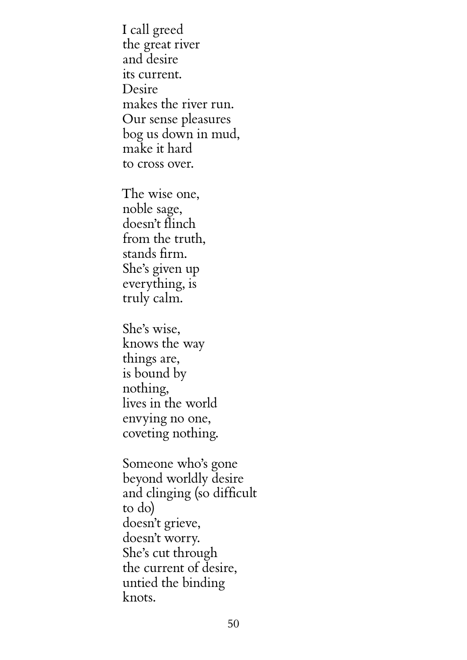I call greed the great river and desire its current. Desire makes the river run. Our sense pleasures bog us down in mud, make it hard to cross over.

The wise one, noble sage, doesn't flinch from the truth, stands firm. She's given up everything, is truly calm.

She's wise, knows the way things are, is bound by nothing, lives in the world envying no one, coveting nothing.

Someone who's gone beyond worldly desire and clinging (so difficult to do) doesn't grieve, doesn't worry. She's cut through the current of desire, untied the binding knots.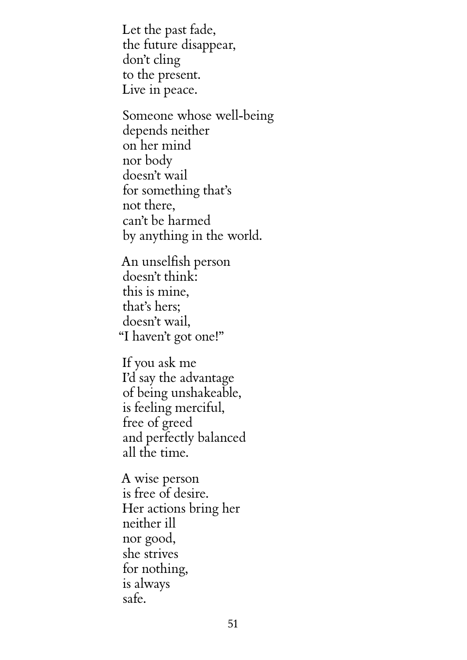Let the past fade, the future disappear, don't cling to the present. Live in peace.

Someone whose well-being depends neither on her mind nor body doesn't wail for something that's not there, can't be harmed by anything in the world.

An unselfish person doesn't think: this is mine, that's hers; doesn't wail, "I haven't got one!"

If you ask me I'd say the advantage of being unshakeable, is feeling merciful, free of greed and perfectly balanced all the time.

A wise person is free of desire. Her actions bring her neither ill nor good, she strives for nothing, is always safe.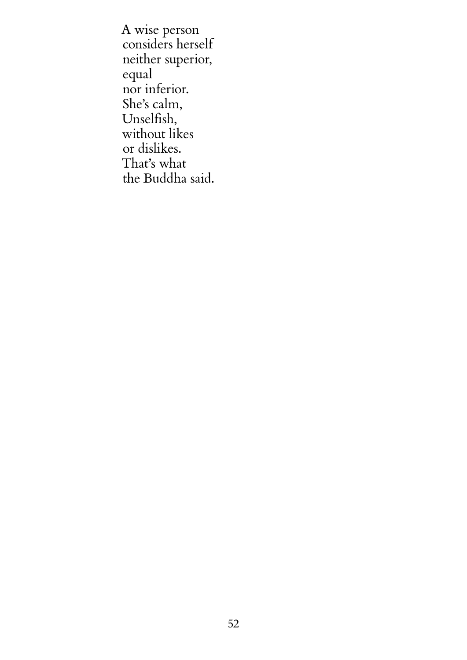A wise person considers herself neither superior, equal nor inferior. She's calm, Unselfish, without likes or dislikes. That's what the Buddha said.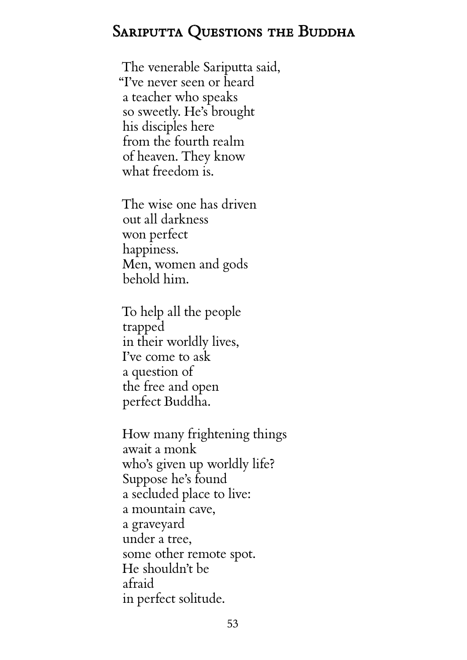## <span id="page-57-0"></span>SARIPUTTA QUESTIONS THE BUDDHA

The venerable Sariputta said, "I've never seen or heard a teacher who speaks so sweetly. He's brought his disciples here from the fourth realm of heaven. They know what freedom is.

The wise one has driven out all darkness won perfect happiness. Men, women and gods behold him.

To help all the people trapped in their worldly lives, I've come to ask a question of the free and open perfect Buddha.

How many frightening things await a monk who's given up worldly life? Suppose he's found a secluded place to live: a mountain cave, a graveyard under a tree, some other remote spot. He shouldn't be afraid in perfect solitude.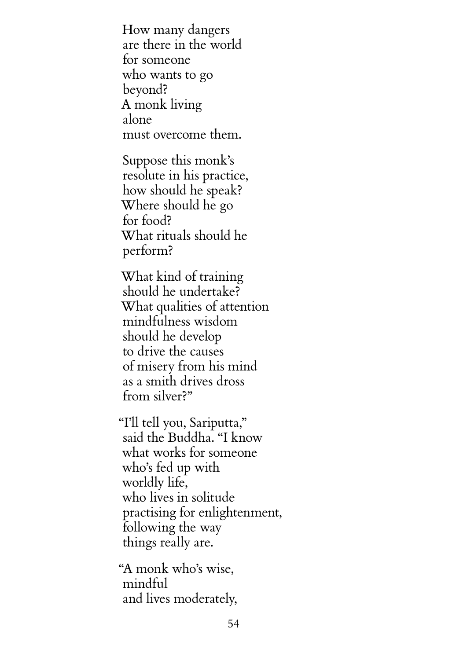How many dangers are there in the world for someone who wants to go beyond? A monk living alone must overcome them.

Suppose this monk's resolute in his practice, how should he speak? Where should he go for food? What rituals should he perform?

What kind of training should he undertake? What qualities of attention mindfulness wisdom should he develop to drive the causes of misery from his mind as a smith drives dross from silver?"

"I'll tell you, Sariputta," said the Buddha. "I know what works for someone who's fed up with worldly life, who lives in solitude practising for enlightenment, following the way things really are.

"A monk who's wise, mindful and lives moderately,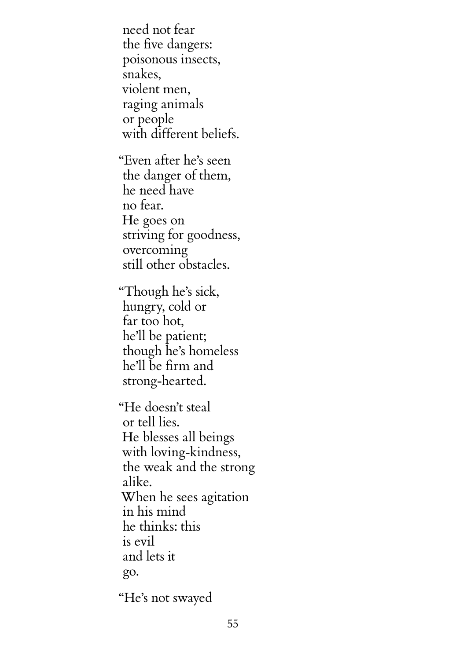need not fear the five dangers: poisonous insects, snakes, violent men, raging animals or people with different beliefs.

"Even after he's seen the danger of them, he need have no fear. He goes on striving for goodness, overcoming still other obstacles.

"Though he's sick, hungry, cold or far too hot, he'll be patient; though he's homeless he'll be firm and strong-hearted.

"He doesn't steal or tell lies. He blesses all beings with loving-kindness, the weak and the strong alike. When he sees agitation in his mind he thinks: this is evil and lets it go.

"He's not swayed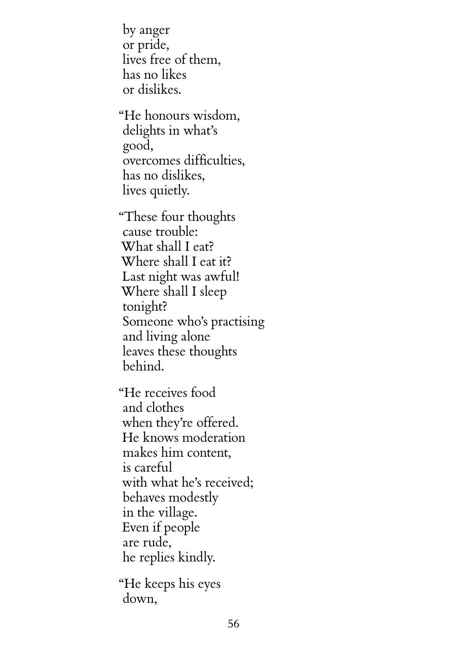by anger or pride, lives free of them, has no likes or dislikes.

"He honours wisdom, delights in what's good, overcomes difficulties, has no dislikes, lives quietly.

"These four thoughts cause trouble: What shall I eat? Where shall I eat it? Last night was awful! Where shall I sleep tonight? Someone who's practising and living alone leaves these thoughts behind.

"He receives food and clothes when they're offered. He knows moderation makes him content, is careful with what he's received; behaves modestly in the village. Even if people are rude, he replies kindly.

"He keeps his eyes down,